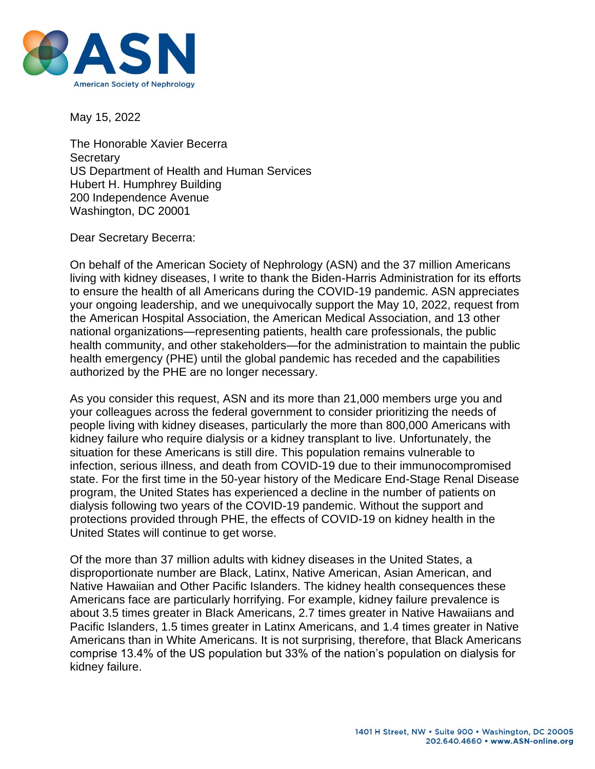

May 15, 2022

The Honorable Xavier Becerra **Secretary** US Department of Health and Human Services Hubert H. Humphrey Building 200 Independence Avenue Washington, DC 20001

Dear Secretary Becerra:

On behalf of the American Society of Nephrology (ASN) and the 37 million Americans living with kidney diseases, I write to thank the Biden-Harris Administration for its efforts to ensure the health of all Americans during the COVID-19 pandemic. ASN appreciates your ongoing leadership, and we unequivocally support the May 10, 2022, request from the American Hospital Association, the American Medical Association, and 13 other national organizations—representing patients, health care professionals, the public health community, and other stakeholders—for the administration to maintain the public health emergency (PHE) until the global pandemic has receded and the capabilities authorized by the PHE are no longer necessary.

As you consider this request, ASN and its more than 21,000 members urge you and your colleagues across the federal government to consider prioritizing the needs of people living with kidney diseases, particularly the more than 800,000 Americans with kidney failure who require dialysis or a kidney transplant to live. Unfortunately, the situation for these Americans is still dire. This population remains vulnerable to infection, serious illness, and death from COVID-19 due to their immunocompromised state. For the first time in the 50-year history of the Medicare End-Stage Renal Disease program, the United States has experienced a decline in the number of patients on dialysis following two years of the COVID-19 pandemic. Without the support and protections provided through PHE, the effects of COVID-19 on kidney health in the United States will continue to get worse.

Of the more than 37 million adults with kidney diseases in the United States, a disproportionate number are Black, Latinx, Native American, Asian American, and Native Hawaiian and Other Pacific Islanders. The kidney health consequences these Americans face are particularly horrifying. For example, kidney failure prevalence is about 3.5 times greater in Black Americans, 2.7 times greater in Native Hawaiians and Pacific Islanders, 1.5 times greater in Latinx Americans, and 1.4 times greater in Native Americans than in White Americans. It is not surprising, therefore, that Black Americans comprise 13.4% of the US population but 33% of the nation's population on dialysis for kidney failure.